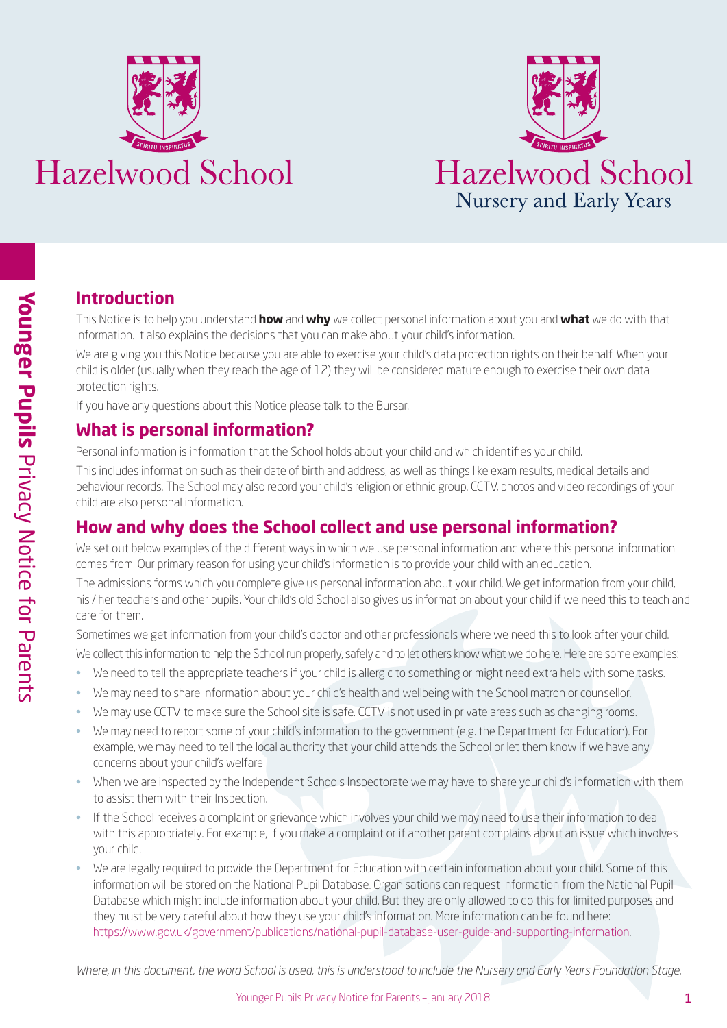



# **Hazelwood School**

# **Introduction**

This Notice is to help you understand **how** and **why** we collect personal information about you and **what** we do with that information. It also explains the decisions that you can make about your child's information.

We are giving you this Notice because you are able to exercise your child's data protection rights on their behalf. When your child is older (usually when they reach the age of 12) they will be considered mature enough to exercise their own data protection rights.

If you have any questions about this Notice please talk to the Bursar.

# **What is personal information?**

Personal information is information that the School holds about your child and which identifies your child.

This includes information such as their date of birth and address, as well as things like exam results, medical details and behaviour records. The School may also record your child's religion or ethnic group. CCTV, photos and video recordings of your child are also personal information.

# **How and why does the School collect and use personal information?**

We set out below examples of the different ways in which we use personal information and where this personal information comes from. Our primary reason for using your child's information is to provide your child with an education.

The admissions forms which you complete give us personal information about your child. We get information from your child, his / her teachers and other pupils. Your child's old School also gives us information about your child if we need this to teach and care for them.

Sometimes we get information from your child's doctor and other professionals where we need this to look after your child. We collect this information to help the School run properly, safely and to let others know what we do here. Here are some examples:

- We need to tell the appropriate teachers if your child is allergic to something or might need extra help with some tasks.
- We may need to share information about your child's health and wellbeing with the School matron or counsellor.
- We may use CCTV to make sure the School site is safe. CCTV is not used in private areas such as changing rooms.
- We may need to report some of your child's information to the government (e.g. the Department for Education). For example, we may need to tell the local authority that your child attends the School or let them know if we have any concerns about your child's welfare.
- When we are inspected by the Independent Schools Inspectorate we may have to share your child's information with them to assist them with their Inspection.
- If the School receives a complaint or grievance which involves your child we may need to use their information to deal with this appropriately. For example, if you make a complaint or if another parent complains about an issue which involves your child.
- We are legally required to provide the Department for Education with certain information about your child. Some of this information will be stored on the National Pupil Database. Organisations can request information from the National Pupil Database which might include information about your child. But they are only allowed to do this for limited purposes and they must be very careful about how they use your child's information. More information can be found here: https://www.gov.uk/government/publications/national-pupil-database-user-guide-and-supporting-information.

*Where, in this document, the word School is used, this is understood to include the Nursery and Early Years Foundation Stage.*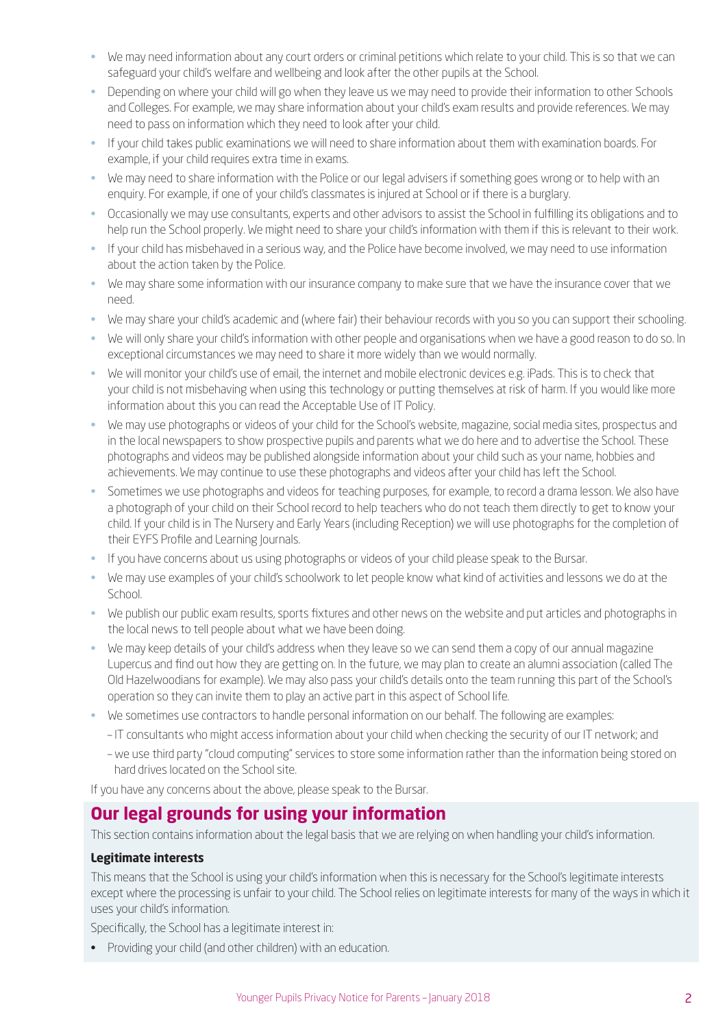- We may need information about any court orders or criminal petitions which relate to your child. This is so that we can safeguard your child's welfare and wellbeing and look after the other pupils at the School.
- Depending on where your child will go when they leave us we may need to provide their information to other Schools and Colleges. For example, we may share information about your child's exam results and provide references. We may need to pass on information which they need to look after your child.
- If your child takes public examinations we will need to share information about them with examination boards. For example, if your child requires extra time in exams.
- We may need to share information with the Police or our legal advisers if something goes wrong or to help with an enquiry. For example, if one of your child's classmates is injured at School or if there is a burglary.
- Occasionally we may use consultants, experts and other advisors to assist the School in fulfilling its obligations and to help run the School properly. We might need to share your child's information with them if this is relevant to their work.
- If your child has misbehaved in a serious way, and the Police have become involved, we may need to use information about the action taken by the Police.
- We may share some information with our insurance company to make sure that we have the insurance cover that we need.
- We may share your child's academic and (where fair) their behaviour records with you so you can support their schooling.
- We will only share your child's information with other people and organisations when we have a good reason to do so. In exceptional circumstances we may need to share it more widely than we would normally.
- We will monitor your child's use of email, the internet and mobile electronic devices e.g. iPads. This is to check that your child is not misbehaving when using this technology or putting themselves at risk of harm. If you would like more information about this you can read the Acceptable Use of IT Policy.
- We may use photographs or videos of your child for the School's website, magazine, social media sites, prospectus and in the local newspapers to show prospective pupils and parents what we do here and to advertise the School. These photographs and videos may be published alongside information about your child such as your name, hobbies and achievements. We may continue to use these photographs and videos after your child has left the School.
- Sometimes we use photographs and videos for teaching purposes, for example, to record a drama lesson. We also have a photograph of your child on their School record to help teachers who do not teach them directly to get to know your child. If your child is in The Nursery and Early Years (including Reception) we will use photographs for the completion of their EYFS Profile and Learning Journals.
- If you have concerns about us using photographs or videos of your child please speak to the Bursar.
- We may use examples of your child's schoolwork to let people know what kind of activities and lessons we do at the School.
- We publish our public exam results, sports fixtures and other news on the website and put articles and photographs in the local news to tell people about what we have been doing.
- We may keep details of your child's address when they leave so we can send them a copy of our annual magazine Lupercus and find out how they are getting on. In the future, we may plan to create an alumni association (called The Old Hazelwoodians for example). We may also pass your child's details onto the team running this part of the School's operation so they can invite them to play an active part in this aspect of School life.
- We sometimes use contractors to handle personal information on our behalf. The following are examples:
	- IT consultants who might access information about your child when checking the security of our IT network; and
	- we use third party "cloud computing" services to store some information rather than the information being stored on hard drives located on the School site.

If you have any concerns about the above, please speak to the Bursar.

### **Our legal grounds for using your information**

This section contains information about the legal basis that we are relying on when handling your child's information.

#### **Legitimate interests**

This means that the School is using your child's information when this is necessary for the School's legitimate interests except where the processing is unfair to your child. The School relies on legitimate interests for many of the ways in which it uses your child's information.

Specifically, the School has a legitimate interest in:

• Providing your child (and other children) with an education.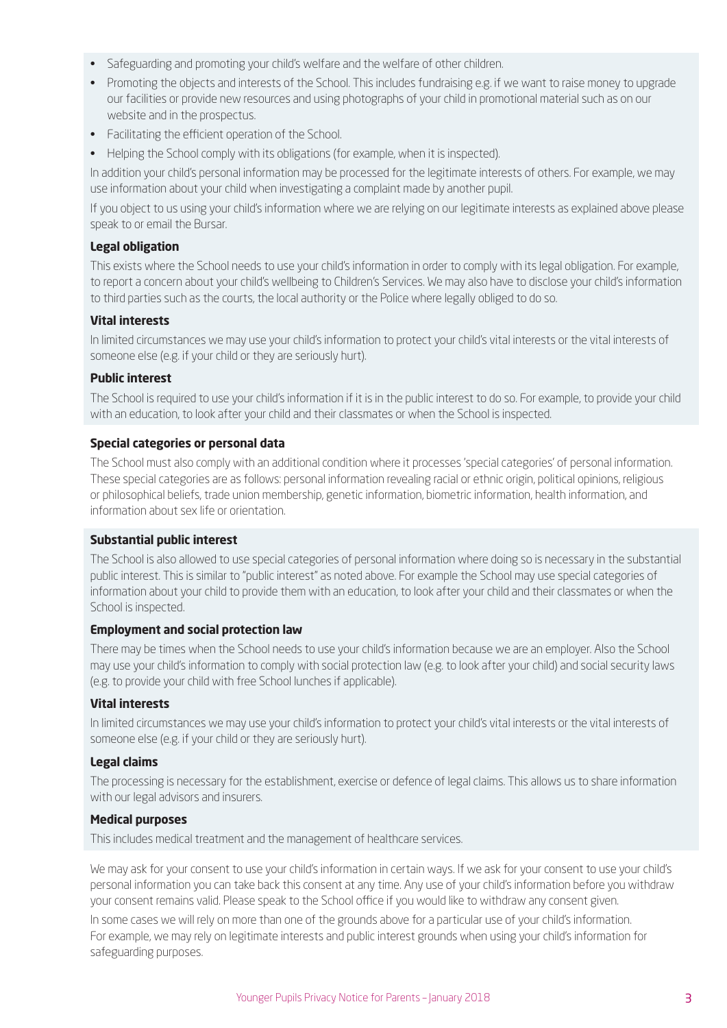- Safeguarding and promoting your child's welfare and the welfare of other children.
- Promoting the objects and interests of the School. This includes fundraising e.g. if we want to raise money to upgrade our facilities or provide new resources and using photographs of your child in promotional material such as on our website and in the prospectus.
- Facilitating the efficient operation of the School.
- Helping the School comply with its obligations (for example, when it is inspected).

In addition your child's personal information may be processed for the legitimate interests of others. For example, we may use information about your child when investigating a complaint made by another pupil.

If you object to us using your child's information where we are relying on our legitimate interests as explained above please speak to or email the Bursar.

#### **Legal obligation**

This exists where the School needs to use your child's information in order to comply with its legal obligation. For example, to report a concern about your child's wellbeing to Children's Services. We may also have to disclose your child's information to third parties such as the courts, the local authority or the Police where legally obliged to do so.

#### **Vital interests**

In limited circumstances we may use your child's information to protect your child's vital interests or the vital interests of someone else (e.g. if your child or they are seriously hurt).

#### **Public interest**

The School is required to use your child's information if it is in the public interest to do so. For example, to provide your child with an education, to look after your child and their classmates or when the School is inspected.

#### **Special categories or personal data**

The School must also comply with an additional condition where it processes 'special categories' of personal information. These special categories are as follows: personal information revealing racial or ethnic origin, political opinions, religious or philosophical beliefs, trade union membership, genetic information, biometric information, health information, and information about sex life or orientation.

#### **Substantial public interest**

The School is also allowed to use special categories of personal information where doing so is necessary in the substantial public interest. This is similar to "public interest" as noted above. For example the School may use special categories of information about your child to provide them with an education, to look after your child and their classmates or when the School is inspected.

#### **Employment and social protection law**

There may be times when the School needs to use your child's information because we are an employer. Also the School may use your child's information to comply with social protection law (e.g. to look after your child) and social security laws (e.g. to provide your child with free School lunches if applicable).

#### **Vital interests**

In limited circumstances we may use your child's information to protect your child's vital interests or the vital interests of someone else (e.g. if your child or they are seriously hurt).

#### **Legal claims**

The processing is necessary for the establishment, exercise or defence of legal claims. This allows us to share information with our legal advisors and insurers.

#### **Medical purposes**

This includes medical treatment and the management of healthcare services.

We may ask for your consent to use your child's information in certain ways. If we ask for your consent to use your child's personal information you can take back this consent at any time. Any use of your child's information before you withdraw your consent remains valid. Please speak to the School office if you would like to withdraw any consent given.

In some cases we will rely on more than one of the grounds above for a particular use of your child's information. For example, we may rely on legitimate interests and public interest grounds when using your child's information for safeguarding purposes.